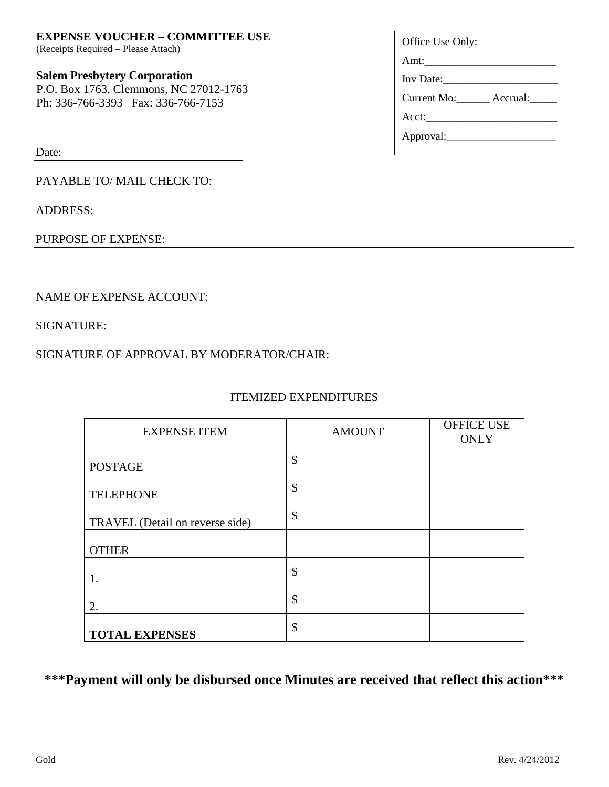SIGNATURE:

### **EXPENSE VOUCHER – COMMITTEE USE**

(Receipts Required – Please Attach)

#### **Salem Presbytery Corporation**

P.O. Box 1763, Clemmons, NC 27012-1763 Ph: 336-766-3393 Fax: 336-766-7153

Date:

PAYABLE TO/ MAIL CHECK TO:

NAME OF EXPENSE ACCOUNT:

### ADDRESS:

### PURPOSE OF EXPENSE:

# SIGNATURE OF APPROVAL BY MODERATOR/CHAIR:

### ITEMIZED EXPENDITURES

| <b>EXPENSE ITEM</b>             | <b>AMOUNT</b> | <b>OFFICE USE</b><br><b>ONLY</b> |
|---------------------------------|---------------|----------------------------------|
| <b>POSTAGE</b>                  | \$            |                                  |
| <b>TELEPHONE</b>                | \$            |                                  |
| TRAVEL (Detail on reverse side) | \$            |                                  |
| <b>OTHER</b>                    |               |                                  |
|                                 | \$            |                                  |
| 2.                              | \$            |                                  |
| <b>TOTAL EXPENSES</b>           | \$            |                                  |

**\*\*\*Payment will only be disbursed once Minutes are received that reflect this action\*\*\***